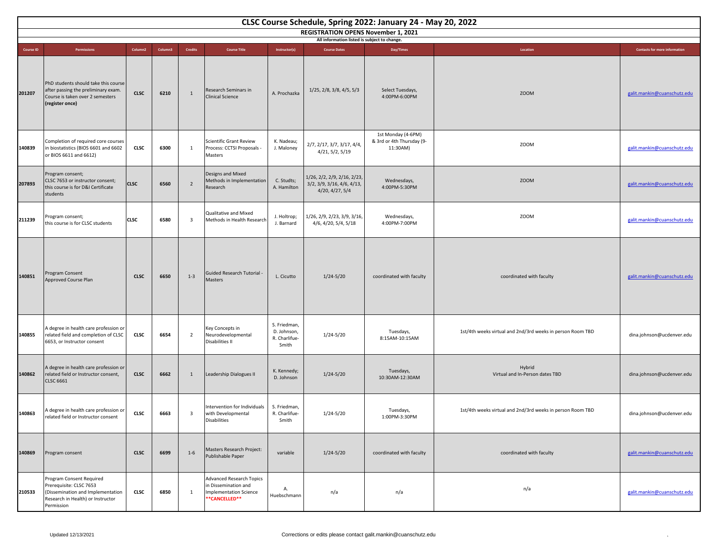| CLSC Course Schedule, Spring 2022: January 24 - May 20, 2022                               |                                                                                                                                             |                     |         |                         |                                                                                                           |                                                       |                                                                              |                                                             |                                                            |                                      |  |
|--------------------------------------------------------------------------------------------|---------------------------------------------------------------------------------------------------------------------------------------------|---------------------|---------|-------------------------|-----------------------------------------------------------------------------------------------------------|-------------------------------------------------------|------------------------------------------------------------------------------|-------------------------------------------------------------|------------------------------------------------------------|--------------------------------------|--|
| <b>REGISTRATION OPENS November 1, 2021</b><br>All information listed is subject to change. |                                                                                                                                             |                     |         |                         |                                                                                                           |                                                       |                                                                              |                                                             |                                                            |                                      |  |
| <b>Course ID</b>                                                                           | Permissions                                                                                                                                 | Column <sub>2</sub> | Column3 | Credits                 | <b>Course Title</b>                                                                                       | Instructor(s)                                         | <b>Course Dates</b>                                                          | Day/Times                                                   | Location                                                   | <b>Contacts for more information</b> |  |
| 201207                                                                                     | PhD students should take this course<br>after passing the preliminary exam.<br>Course is taken over 2 semesters<br>(register once)          | <b>CLSC</b>         | 6210    | 1                       | Research Seminars in<br><b>Clinical Science</b>                                                           | A. Prochazka                                          | 1/25, 2/8, 3/8, 4/5, 5/3                                                     | Select Tuesdays,<br>4:00PM-6:00PM                           | <b>ZOOM</b>                                                | galit.mankin@cuanschutz.edu          |  |
| 140839                                                                                     | Completion of required core courses<br>in biostatistics (BIOS 6601 and 6602<br>or BIOS 6611 and 6612)                                       | <b>CLSC</b>         | 6300    | 1                       | <b>Scientific Grant Review</b><br>Process: CCTSI Proposals -<br>Masters                                   | K. Nadeau;<br>J. Maloney                              | 2/7, 2/17, 3/7, 3/17, 4/4,<br>4/21, 5/2, 5/19                                | 1st Monday (4-6PM)<br>& 3rd or 4th Thursday (9-<br>11:30AM) | ZOOM                                                       | galit.mankin@cuanschutz.edu          |  |
| 207893                                                                                     | Program consent;<br>CLSC 7653 or instructor consent;<br>this course is for D&I Certificate<br>students                                      | <b>CLSC</b>         | 6560    | $\overline{2}$          | Designs and Mixed<br>Methods in Implementation<br>Research                                                | C. Studts;<br>A. Hamilton                             | 1/26, 2/2, 2/9, 2/16, 2/23,<br>3/2, 3/9, 3/16, 4/6, 4/13,<br>4/20, 4/27, 5/4 | Wednesdays,<br>4:00PM-5:30PM                                | <b>ZOOM</b>                                                | galit.mankin@cuanschutz.edu          |  |
| 211239                                                                                     | Program consent;<br>this course is for CLSC students                                                                                        | <b>CLSC</b>         | 6580    | $\overline{\mathbf{3}}$ | Qualitative and Mixed<br>Methods in Health Research                                                       | J. Holtrop;<br>J. Barnard                             | 1/26, 2/9, 2/23, 3/9, 3/16,<br>4/6, 4/20, 5/4, 5/18                          | Wednesdays,<br>4:00PM-7:00PM                                | <b>ZOOM</b>                                                | galit.mankin@cuanschutz.edu          |  |
| 140851                                                                                     | Program Consent<br>Approved Course Plan                                                                                                     | <b>CLSC</b>         | 6650    | $1 - 3$                 | Guided Research Tutorial -<br>Masters                                                                     | L. Cicutto                                            | $1/24 - 5/20$                                                                | coordinated with faculty                                    | coordinated with faculty                                   | galit.mankin@cuanschutz.edu          |  |
| 140855                                                                                     | A degree in health care profession or<br>related field and completion of CLSC<br>6653, or Instructor consent                                | <b>CLSC</b>         | 6654    | $\overline{2}$          | Key Concepts in<br>Neurodevelopmental<br>Disabilities II                                                  | S. Friedman,<br>D. Johnson,<br>R. Charlifue-<br>Smith | 1/24-5/20                                                                    | Tuesdays,<br>8:15AM-10:15AM                                 | 1st/4th weeks virtual and 2nd/3rd weeks in person Room TBD | dina.johnson@ucdenver.edu            |  |
| 140862                                                                                     | A degree in health care profession or<br>related field or Instructor consent,<br><b>CLSC 6661</b>                                           | <b>CLSC</b>         | 6662    | 1                       | Leadership Dialogues II                                                                                   | K. Kennedy;<br>D. Johnson                             | $1/24 - 5/20$                                                                | Tuesdays,<br>10:30AM-12:30AM                                | Hybrid<br>Virtual and In-Person dates TBD                  | dina.johnson@ucdenver.edu            |  |
| 140863                                                                                     | A degree in health care profession or<br>related field or Instructor consent                                                                | <b>CLSC</b>         | 6663    | $\overline{\mathbf{3}}$ | Intervention for Individuals<br>with Developmental<br>Disabilities                                        | S. Friedman,<br>R. Charlifue-<br>Smith                | $1/24 - 5/20$                                                                | Tuesdays,<br>1:00PM-3:30PM                                  | 1st/4th weeks virtual and 2nd/3rd weeks in person Room TBD | dina.johnson@ucdenver.edu            |  |
| 140869                                                                                     | Program consent                                                                                                                             | <b>CLSC</b>         | 6699    | $1 - 6$                 | Masters Research Project:<br>Publishable Paper                                                            | variable                                              | $1/24 - 5/20$                                                                | coordinated with faculty                                    | coordinated with faculty                                   | galit.mankin@cuanschutz.edu          |  |
| 210533                                                                                     | Program Consent Required<br>Prerequisite: CLSC 7653<br>(Dissemination and Implementation<br>Research in Health) or Instructor<br>Permission | <b>CLSC</b>         | 6850    | 1                       | <b>Advanced Research Topics</b><br>in Dissemination and<br><b>Implementation Science</b><br>**CANCELLED** | Α.<br>Huebschmann                                     | n/a                                                                          | n/a                                                         | n/a                                                        | galit.mankin@cuanschutz.edu          |  |